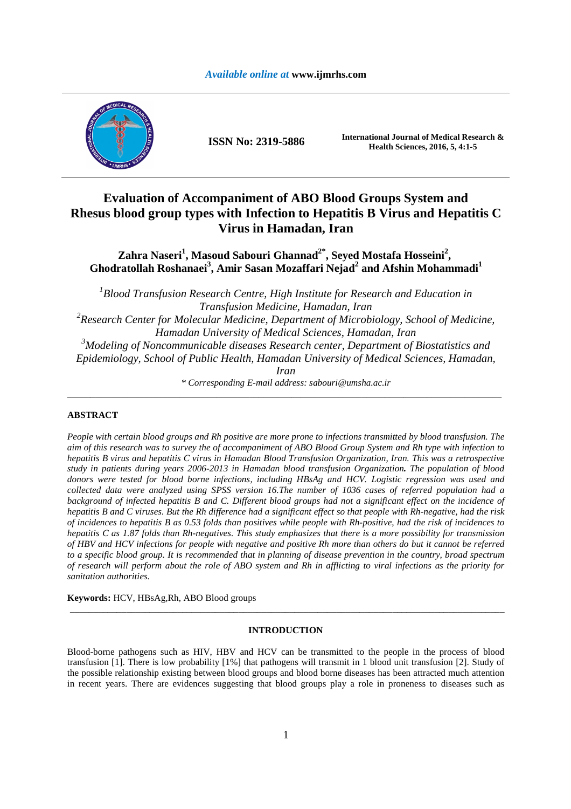## *Available online at* **www.ijmrhs.com**



**ISSN No: 2319-5886 International Journal of Medical Research &** <br>**ILLENS** Schemate 2016 5 4:1.5 **Health Sciences, 2016, 5, 4:1-5**

# **Evaluation of Accompaniment of ABO Blood Groups System and Rhesus blood group types with Infection to Hepatitis B Virus and Hepatitis C Virus in Hamadan, Iran**

**Zahra Naseri<sup>1</sup> , Masoud Sabouri Ghannad2\*, Seyed Mostafa Hosseini<sup>2</sup> , Ghodratollah Roshanaei<sup>3</sup> , Amir Sasan Mozaffari Nejad<sup>2</sup> and Afshin Mohammadi<sup>1</sup>**

<sup>1</sup>Blood Transfusion Research Centre, High Institute for Research and Education in *Transfusion Medicine, Hamadan, Iran <sup>2</sup>Research Center for Molecular Medicine, Department of Microbiology, School of Medicine,* 

*Hamadan University of Medical Sciences, Hamadan, Iran* 

*<sup>3</sup>Modeling of Noncommunicable diseases Research center, Department of Biostatistics and Epidemiology, School of Public Health, Hamadan University of Medical Sciences, Hamadan,* 

*Iran* 

*\* Corresponding E-mail address: sabouri@umsha.ac.ir* \_\_\_\_\_\_\_\_\_\_\_\_\_\_\_\_\_\_\_\_\_\_\_\_\_\_\_\_\_\_\_\_\_\_\_\_\_\_\_\_\_\_\_\_\_\_\_\_\_\_\_\_\_\_\_\_\_\_\_\_\_\_\_\_\_\_\_\_\_\_\_\_\_\_\_\_\_\_\_\_\_\_\_\_\_\_\_\_\_\_\_\_\_

## **ABSTRACT**

*People with certain blood groups and Rh positive are more prone to infections transmitted by blood transfusion. The aim of this research was to survey the of accompaniment of ABO Blood Group System and Rh type with infection to hepatitis B virus and hepatitis C virus in Hamadan Blood Transfusion Organization, Iran. This was a retrospective study in patients during years 2006-2013 in Hamadan blood transfusion Organization. The population of blood donors were tested for blood borne infections, including HBsAg and HCV. Logistic regression was used and collected data were analyzed using SPSS version 16.The number of 1036 cases of referred population had a background of infected hepatitis B and C. Different blood groups had not a significant effect on the incidence of hepatitis B and C viruses. But the Rh difference had a significant effect so that people with Rh-negative, had the risk of incidences to hepatitis B as 0.53 folds than positives while people with Rh-positive, had the risk of incidences to hepatitis C as 1.87 folds than Rh-negatives. This study emphasizes that there is a more possibility for transmission of HBV and HCV infections for people with negative and positive Rh more than others do but it cannot be referred to a specific blood group. It is recommended that in planning of disease prevention in the country, broad spectrum of research will perform about the role of ABO system and Rh in afflicting to viral infections as the priority for sanitation authorities.* 

**Keywords:** HCV, HBsAg,Rh, ABO Blood groups

#### **INTRODUCTION**

\_\_\_\_\_\_\_\_\_\_\_\_\_\_\_\_\_\_\_\_\_\_\_\_\_\_\_\_\_\_\_\_\_\_\_\_\_\_\_\_\_\_\_\_\_\_\_\_\_\_\_\_\_\_\_\_\_\_\_\_\_\_\_\_\_\_\_\_\_\_\_\_\_\_\_\_\_\_\_\_\_\_\_\_\_\_\_\_\_\_\_\_\_

Blood-borne pathogens such as HIV, HBV and HCV can be transmitted to the people in the process of blood transfusion [1]. There is low probability [1%] that pathogens will transmit in 1 blood unit transfusion [2]. Study of the possible relationship existing between blood groups and blood borne diseases has been attracted much attention in recent years. There are evidences suggesting that blood groups play a role in proneness to diseases such as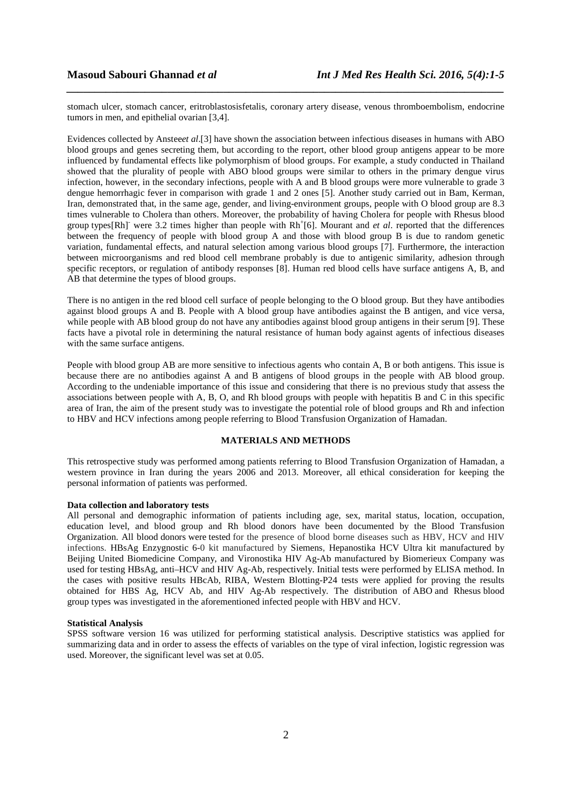stomach ulcer, stomach cancer, eritroblastosisfetalis, coronary artery disease, venous thromboembolism, endocrine tumors in men, and epithelial ovarian [3,4].

*\_\_\_\_\_\_\_\_\_\_\_\_\_\_\_\_\_\_\_\_\_\_\_\_\_\_\_\_\_\_\_\_\_\_\_\_\_\_\_\_\_\_\_\_\_\_\_\_\_\_\_\_\_\_\_\_\_\_\_\_\_\_\_\_\_\_\_\_\_\_\_\_\_\_\_\_\_\_*

Evidences collected by Anstee*et al*.[3] have shown the association between infectious diseases in humans with ABO blood groups and genes secreting them, but according to the report, other blood group antigens appear to be more influenced by fundamental effects like polymorphism of blood groups. For example, a study conducted in Thailand showed that the plurality of people with ABO blood groups were similar to others in the primary dengue virus infection, however, in the secondary infections, people with A and B blood groups were more vulnerable to grade 3 dengue hemorrhagic fever in comparison with grade 1 and 2 ones [5]. Another study carried out in Bam, Kerman, Iran, demonstrated that, in the same age, gender, and living-environment groups, people with O blood group are 8.3 times vulnerable to Cholera than others. Moreover, the probability of having Cholera for people with Rhesus blood group types[Rh]<sup>-</sup> were 3.2 times higher than people with Rh<sup>+</sup>[6]. Mourant and *et al.* reported that the differences between the frequency of people with blood group A and those with blood group B is due to random genetic variation, fundamental effects, and natural selection among various blood groups [7]. Furthermore, the interaction between microorganisms and red blood cell membrane probably is due to antigenic similarity, adhesion through specific receptors, or regulation of antibody responses [8]. Human red blood cells have surface antigens A, B, and AB that determine the types of blood groups.

There is no antigen in the red blood cell surface of people belonging to the O blood group. But they have antibodies against blood groups A and B. People with A blood group have antibodies against the B antigen, and vice versa, while people with AB blood group do not have any antibodies against blood group antigens in their serum [9]. These facts have a pivotal role in determining the natural resistance of human body against agents of infectious diseases with the same surface antigens.

People with blood group AB are more sensitive to infectious agents who contain A, B or both antigens. This issue is because there are no antibodies against A and B antigens of blood groups in the people with AB blood group. According to the undeniable importance of this issue and considering that there is no previous study that assess the associations between people with A, B, O, and Rh blood groups with people with hepatitis B and C in this specific area of Iran, the aim of the present study was to investigate the potential role of blood groups and Rh and infection to HBV and HCV infections among people referring to Blood Transfusion Organization of Hamadan.

## **MATERIALS AND METHODS**

This retrospective study was performed among patients referring to Blood Transfusion Organization of Hamadan, a western province in Iran during the years 2006 and 2013. Moreover, all ethical consideration for keeping the personal information of patients was performed.

#### **Data collection and laboratory tests**

All personal and demographic information of patients including age, sex, marital status, location, occupation, education level, and blood group and Rh blood donors have been documented by the Blood Transfusion Organization. All blood donors were tested for the presence of blood borne diseases such as HBV, HCV and HIV infections. HBsAg Enzygnostic 6-0 kit manufactured by Siemens, Hepanostika HCV Ultra kit manufactured by Beijing United Biomedicine Company, and Vironostika HIV Ag-Ab manufactured by Biomerieux Company was used for testing HBsAg, anti–HCV and HIV Ag-Ab, respectively. Initial tests were performed by ELISA method. In the cases with positive results HBcAb, RIBA, Western Blotting-P24 tests were applied for proving the results obtained for HBS Ag, HCV Ab, and HIV Ag-Ab respectively. The distribution of ABO and Rhesus blood group types was investigated in the aforementioned infected people with HBV and HCV.

#### **Statistical Analysis**

SPSS software version 16 was utilized for performing statistical analysis. Descriptive statistics was applied for summarizing data and in order to assess the effects of variables on the type of viral infection, logistic regression was used. Moreover, the significant level was set at 0.05.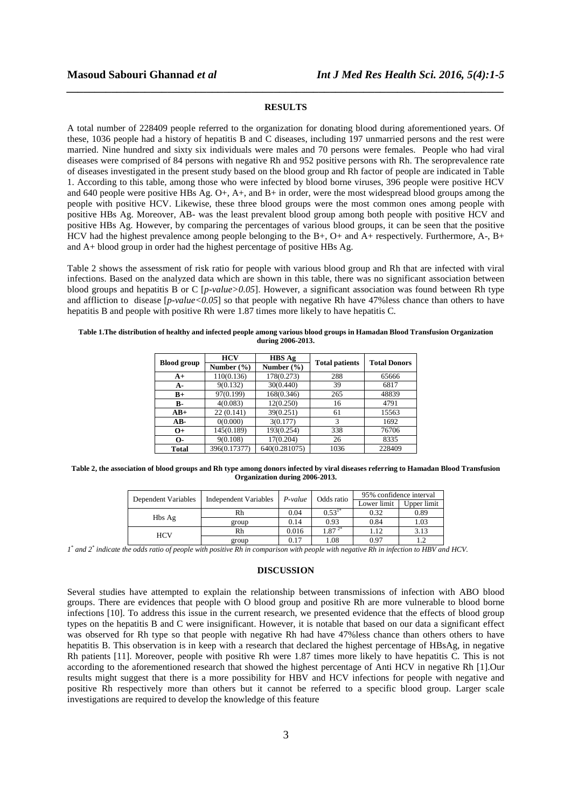## **RESULTS**

*\_\_\_\_\_\_\_\_\_\_\_\_\_\_\_\_\_\_\_\_\_\_\_\_\_\_\_\_\_\_\_\_\_\_\_\_\_\_\_\_\_\_\_\_\_\_\_\_\_\_\_\_\_\_\_\_\_\_\_\_\_\_\_\_\_\_\_\_\_\_\_\_\_\_\_\_\_\_*

A total number of 228409 people referred to the organization for donating blood during aforementioned years. Of these, 1036 people had a history of hepatitis B and C diseases, including 197 unmarried persons and the rest were married. Nine hundred and sixty six individuals were males and 70 persons were females. People who had viral diseases were comprised of 84 persons with negative Rh and 952 positive persons with Rh. The seroprevalence rate of diseases investigated in the present study based on the blood group and Rh factor of people are indicated in Table 1. According to this table, among those who were infected by blood borne viruses, 396 people were positive HCV and 640 people were positive HBs Ag. O+, A+, and B+ in order, were the most widespread blood groups among the people with positive HCV. Likewise, these three blood groups were the most common ones among people with positive HBs Ag. Moreover, AB- was the least prevalent blood group among both people with positive HCV and positive HBs Ag. However, by comparing the percentages of various blood groups, it can be seen that the positive HCV had the highest prevalence among people belonging to the B+, O+ and A+ respectively. Furthermore, A-, B+ and A+ blood group in order had the highest percentage of positive HBs Ag.

Table 2 shows the assessment of risk ratio for people with various blood group and Rh that are infected with viral infections. Based on the analyzed data which are shown in this table, there was no significant association between blood groups and hepatitis B or C [*p-value>0.05*]. However, a significant association was found between Rh type and affliction to disease  $[p-value<0.05]$  so that people with negative Rh have 47% less chance than others to have hepatitis B and people with positive Rh were 1.87 times more likely to have hepatitis C.

| <b>Blood</b> group | <b>HCV</b>     | <b>HBS</b> Ag               | <b>Total patients</b> | <b>Total Donors</b> |  |
|--------------------|----------------|-----------------------------|-----------------------|---------------------|--|
|                    | Number $(\% )$ | Number $(\% )$              |                       |                     |  |
| A+                 | 110(0.136)     | 178(0.273)                  | 288                   | 65666               |  |
| А-                 | 9(0.132)       | 30(0.440)                   | 39                    | 6817                |  |
| $B+$               | 97(0.199)      | 168(0.346)                  | 265                   | 48839               |  |
| <b>B-</b>          | 4(0.083)       | 12(0.250)                   | 16                    | 4791                |  |
| $AB+$              | 22(0.141)      | 39(0.251)                   | 61                    | 15563               |  |
| AB-                | 0(0.000)       | 3(0.177)                    | 3                     | 1692                |  |
| $O+$               | 145(0.189)     | 193(0.254)                  | 338                   | 76706               |  |
| 0-                 | 9(0.108)       | 17(0.204)                   | 26                    | 8335                |  |
| Total              | 396(0.17377)   | $\overline{640}$ (0.281075) | 1036                  | 228409              |  |

**Table 1.The distribution of healthy and infected people among various blood groups in Hamadan Blood Transfusion Organization during 2006-2013.** 

**Table 2, the association of blood groups and Rh type among donors infected by viral diseases referring to Hamadan Blood Transfusion Organization during 2006-2013.** 

| Dependent Variables | <b>Independent Variables</b> | $P-value$ | Odds ratio | 95% confidence interval |             |
|---------------------|------------------------------|-----------|------------|-------------------------|-------------|
|                     |                              |           |            | Lower limit             | Upper limit |
|                     | Rh                           | 0.04      | $0.53^{1}$ | 0.32                    | 0.89        |
| Hbs Ag              | group                        | 0.14      | 0.93       | 0.84                    | 1.03        |
| HCV                 | Rh                           | 0.016     | ً 87.ء     | 1.12                    | 3.13        |
|                     | group                        | 0.17      | 1.08       | 0.97                    |             |

*1*<sup>\*</sup> and 2<sup>\*</sup> indicate the odds ratio of people with positive Rh in comparison with people with negative Rh in infection to HBV and HCV.

#### **DISCUSSION**

Several studies have attempted to explain the relationship between transmissions of infection with ABO blood groups. There are evidences that people with O blood group and positive Rh are more vulnerable to blood borne infections [10]. To address this issue in the current research, we presented evidence that the effects of blood group types on the hepatitis B and C were insignificant. However, it is notable that based on our data a significant effect was observed for Rh type so that people with negative Rh had have 47%less chance than others others to have hepatitis B. This observation is in keep with a research that declared the highest percentage of HBsAg, in negative Rh patients [11]. Moreover, people with positive Rh were 1.87 times more likely to have hepatitis C. This is not according to the aforementioned research that showed the highest percentage of Anti HCV in negative Rh [1].Our results might suggest that there is a more possibility for HBV and HCV infections for people with negative and positive Rh respectively more than others but it cannot be referred to a specific blood group. Larger scale investigations are required to develop the knowledge of this feature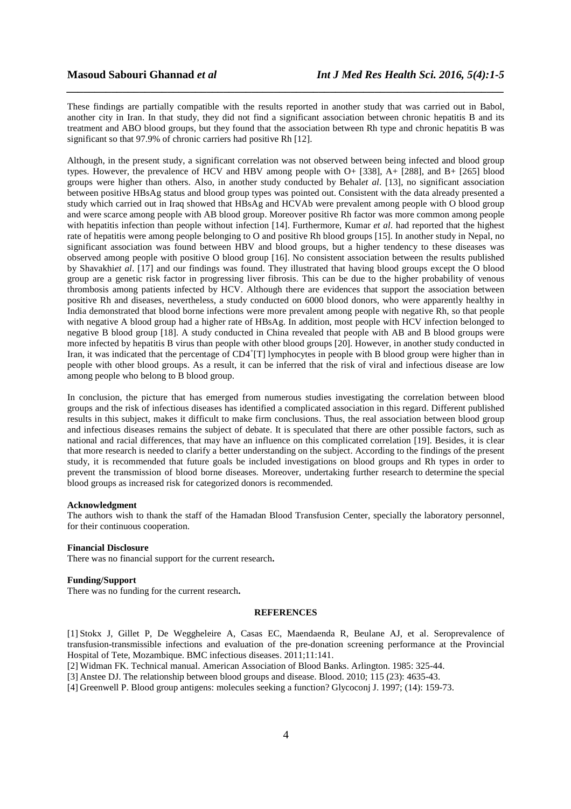These findings are partially compatible with the results reported in another study that was carried out in Babol, another city in Iran. In that study, they did not find a significant association between chronic hepatitis B and its treatment and ABO blood groups, but they found that the association between Rh type and chronic hepatitis B was significant so that 97.9% of chronic carriers had positive Rh [12].

*\_\_\_\_\_\_\_\_\_\_\_\_\_\_\_\_\_\_\_\_\_\_\_\_\_\_\_\_\_\_\_\_\_\_\_\_\_\_\_\_\_\_\_\_\_\_\_\_\_\_\_\_\_\_\_\_\_\_\_\_\_\_\_\_\_\_\_\_\_\_\_\_\_\_\_\_\_\_*

Although, in the present study, a significant correlation was not observed between being infected and blood group types. However, the prevalence of HCV and HBV among people with O+ [338], A+ [288], and B+ [265] blood groups were higher than others. Also, in another study conducted by Behal*et al*. [13], no significant association between positive HBsAg status and blood group types was pointed out. Consistent with the data already presented a study which carried out in Iraq showed that HBsAg and HCVAb were prevalent among people with O blood group and were scarce among people with AB blood group. Moreover positive Rh factor was more common among people with hepatitis infection than people without infection [14]. Furthermore, Kumar *et al*. had reported that the highest rate of hepatitis were among people belonging to O and positive Rh blood groups [15]. In another study in Nepal, no significant association was found between HBV and blood groups, but a higher tendency to these diseases was observed among people with positive O blood group [16]. No consistent association between the results published by Shavakhi*et al*. [17] and our findings was found. They illustrated that having blood groups except the O blood group are a genetic risk factor in progressing liver fibrosis. This can be due to the higher probability of venous thrombosis among patients infected by HCV. Although there are evidences that support the association between positive Rh and diseases, nevertheless, a study conducted on 6000 blood donors, who were apparently healthy in India demonstrated that blood borne infections were more prevalent among people with negative Rh, so that people with negative A blood group had a higher rate of HBsAg. In addition, most people with HCV infection belonged to negative B blood group [18]. A study conducted in China revealed that people with AB and B blood groups were more infected by hepatitis B virus than people with other blood groups [20]. However, in another study conducted in Iran, it was indicated that the percentage of CD4<sup>+</sup>[T] lymphocytes in people with B blood group were higher than in people with other blood groups. As a result, it can be inferred that the risk of viral and infectious disease are low among people who belong to B blood group.

In conclusion, the picture that has emerged from numerous studies investigating the correlation between blood groups and the risk of infectious diseases has identified a complicated association in this regard. Different published results in this subject, makes it difficult to make firm conclusions. Thus, the real association between blood group and infectious diseases remains the subject of debate. It is speculated that there are other possible factors, such as national and racial differences, that may have an influence on this complicated correlation [19]. Besides, it is clear that more research is needed to clarify a better understanding on the subject. According to the findings of the present study, it is recommended that future goals be included investigations on blood groups and Rh types in order to prevent the transmission of blood borne diseases. Moreover, undertaking further research to determine the special blood groups as increased risk for categorized donors is recommended.

### **Acknowledgment**

The authors wish to thank the staff of the Hamadan Blood Transfusion Center, specially the laboratory personnel, for their continuous cooperation.

## **Financial Disclosure**

There was no financial support for the current research**.** 

## **Funding/Support**

There was no funding for the current research**.**

#### **REFERENCES**

[1] Stokx J, Gillet P, De Weggheleire A, Casas EC, Maendaenda R, Beulane AJ, et al. Seroprevalence of transfusion-transmissible infections and evaluation of the pre-donation screening performance at the Provincial Hospital of Tete, Mozambique. BMC infectious diseases. 2011;11:141.

[2] Widman FK. Technical manual. American Association of Blood Banks. Arlington. 1985: 325-44.

[3] Anstee DJ. The relationship between blood groups and disease. Blood. 2010; 115 (23): 4635-43.

[4] Greenwell P. Blood group antigens: molecules seeking a function? Glycoconj J. 1997; (14): 159-73.